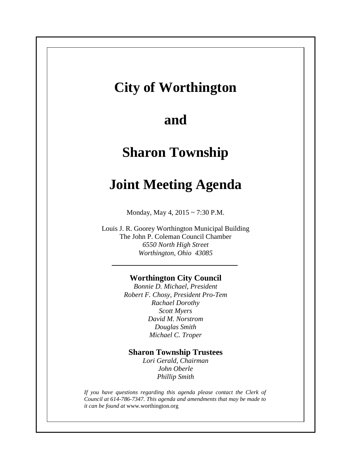# **City of Worthington**

# **and**

# **Sharon Township**

# **Joint Meeting Agenda**

Monday, May 4, 2015 ~ 7:30 P.M.

Louis J. R. Goorey Worthington Municipal Building The John P. Coleman Council Chamber *6550 North High Street Worthington, Ohio 43085*

### **Worthington City Council**

*Bonnie D. Michael, President Robert F. Chosy, President Pro-Tem Rachael Dorothy Scott Myers David M. Norstrom Douglas Smith Michael C. Troper*

## **Sharon Township Trustees**

*Lori Gerald, Chairman John Oberle Phillip Smith*

*If you have questions regarding this agenda please contact the Clerk of Council at 614-786-7347. This agenda and amendments that may be made to it can be found at* www.worthington.org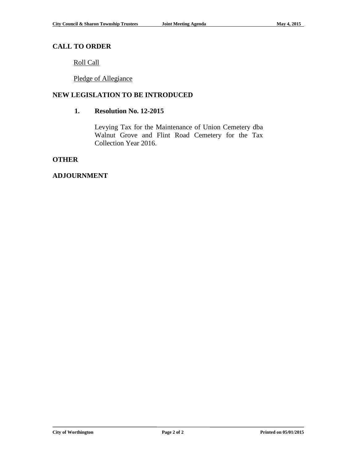### **CALL TO ORDER**

Roll Call

Pledge of Allegiance

### **NEW LEGISLATION TO BE INTRODUCED**

#### **1. Resolution No. 12-2015**

Levying Tax for the Maintenance of Union Cemetery dba Walnut Grove and Flint Road Cemetery for the Tax Collection Year 2016.

#### **OTHER**

#### **ADJOURNMENT**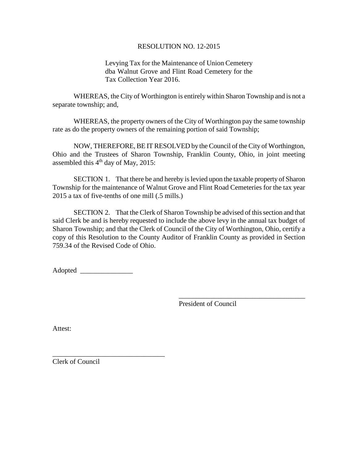#### RESOLUTION NO. 12-2015

Levying Tax for the Maintenance of Union Cemetery dba Walnut Grove and Flint Road Cemetery for the Tax Collection Year 2016.

WHEREAS, the City of Worthington is entirely within Sharon Township and is not a separate township; and,

WHEREAS, the property owners of the City of Worthington pay the same township rate as do the property owners of the remaining portion of said Township;

NOW, THEREFORE, BE IT RESOLVED by the Council of the City of Worthington, Ohio and the Trustees of Sharon Township, Franklin County, Ohio, in joint meeting assembled this  $4<sup>th</sup>$  day of May, 2015:

SECTION 1. That there be and hereby is levied upon the taxable property of Sharon Township for the maintenance of Walnut Grove and Flint Road Cemeteries for the tax year 2015 a tax of five-tenths of one mill (.5 mills.)

SECTION 2. That the Clerk of Sharon Township be advised of this section and that said Clerk be and is hereby requested to include the above levy in the annual tax budget of Sharon Township; and that the Clerk of Council of the City of Worthington, Ohio, certify a copy of this Resolution to the County Auditor of Franklin County as provided in Section 759.34 of the Revised Code of Ohio.

Adopted \_\_\_\_\_\_\_\_\_\_\_\_\_\_\_

\_\_\_\_\_\_\_\_\_\_\_\_\_\_\_\_\_\_\_\_\_\_\_\_\_\_\_\_\_\_\_\_

President of Council

\_\_\_\_\_\_\_\_\_\_\_\_\_\_\_\_\_\_\_\_\_\_\_\_\_\_\_\_\_\_\_\_\_\_\_\_

Attest:

Clerk of Council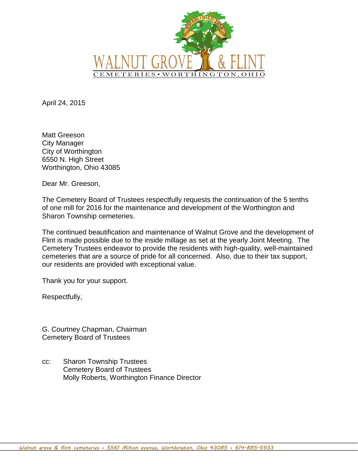

April 24, 2015

Matt Greeson City Manager City of Worthington 6550 N. High Street Worthington, Ohio 43085

Dear Mr. Greeson,

The Cemetery Board of Trustees respectfully requests the continuation of the 5 tenths of one mill for 2016 for the maintenance and development of the Worthington and Sharon Township cemeteries.

The continued beautification and maintenance of Walnut Grove and the development of Flint is made possible due to the inside millage as set at the yearly Joint Meeting. The Cemetery Trustees endeavor to provide the residents with high-quality, well-maintained cemeteries that are a source of pride for all concerned. Also, due to their tax support, our residents are provided with exceptional value.

Thank you for your support.

Respectfully,

G. Courtney Chapman, Chairman Cemetery Board of Trustees

cc: Sharon Township Trustees Cemetery Board of Trustees Molly Roberts, Worthington Finance Director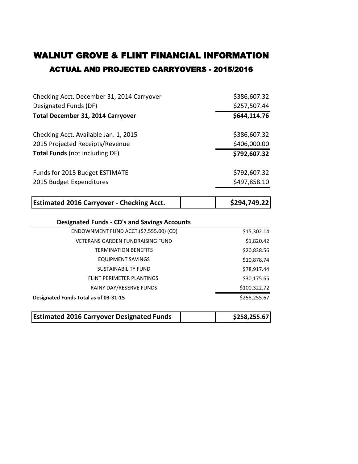# ACTUAL AND PROJECTED CARRYOVERS - 2015/2016 WALNUT GROVE & FLINT FINANCIAL INFORMATION

| Checking Acct. December 31, 2014 Carryover          | \$386,607.32 |
|-----------------------------------------------------|--------------|
| Designated Funds (DF)                               | \$257,507.44 |
| <b>Total December 31, 2014 Carryover</b>            | \$644,114.76 |
| Checking Acct. Available Jan. 1, 2015               | \$386,607.32 |
| 2015 Projected Receipts/Revenue                     | \$406,000.00 |
| <b>Total Funds (not including DF)</b>               | \$792,607.32 |
| Funds for 2015 Budget ESTIMATE                      | \$792,607.32 |
| 2015 Budget Expenditures                            | \$497,858.10 |
| <b>Estimated 2016 Carryover - Checking Acct.</b>    | \$294,749.22 |
|                                                     |              |
|                                                     |              |
| <b>Designated Funds - CD's and Savings Accounts</b> |              |
| ENDOWNMENT FUND ACCT.(\$7,555.00) (CD)              | \$15,302.14  |
| <b>VETERANS GARDEN FUNDRAISING FUND</b>             | \$1,820.42   |
| <b>TERMINATION BENEFITS</b>                         | \$20,838.56  |
| <b>EQUIPMENT SAVINGS</b>                            | \$10,878.74  |
| <b>SUSTAINABILITY FUND</b>                          | \$78,917.44  |
| <b>FLINT PERIMETER PLANTINGS</b>                    | \$30,175.65  |
| RAINY DAY/RESERVE FUNDS                             | \$100,322.72 |
| Designated Funds Total as of 03-31-15               | \$258,255.67 |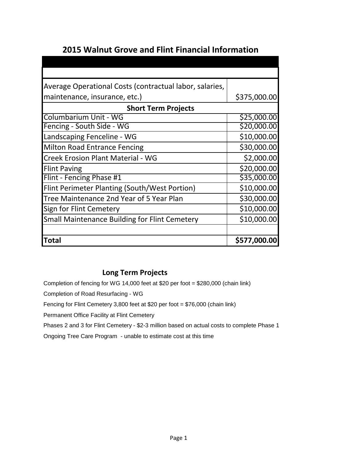# **2015 Walnut Grove and Flint Financial Information**

| Average Operational Costs (contractual labor, salaries, |              |  |  |  |  |  |  |  |
|---------------------------------------------------------|--------------|--|--|--|--|--|--|--|
| maintenance, insurance, etc.)                           | \$375,000.00 |  |  |  |  |  |  |  |
| <b>Short Term Projects</b>                              |              |  |  |  |  |  |  |  |
| Columbarium Unit - WG                                   | \$25,000.00  |  |  |  |  |  |  |  |
| Fencing - South Side - WG                               | \$20,000.00  |  |  |  |  |  |  |  |
| Landscaping Fenceline - WG                              | \$10,000.00  |  |  |  |  |  |  |  |
| <b>Milton Road Entrance Fencing</b>                     | \$30,000.00  |  |  |  |  |  |  |  |
| <b>Creek Erosion Plant Material - WG</b>                | \$2,000.00   |  |  |  |  |  |  |  |
| <b>Flint Paving</b>                                     | \$20,000.00  |  |  |  |  |  |  |  |
| Flint - Fencing Phase #1                                | \$35,000.00  |  |  |  |  |  |  |  |
| Flint Perimeter Planting (South/West Portion)           | \$10,000.00  |  |  |  |  |  |  |  |
| Tree Maintenance 2nd Year of 5 Year Plan                | \$30,000.00  |  |  |  |  |  |  |  |
| Sign for Flint Cemetery                                 | \$10,000.00  |  |  |  |  |  |  |  |
| <b>Small Maintenance Building for Flint Cemetery</b>    | \$10,000.00  |  |  |  |  |  |  |  |
|                                                         |              |  |  |  |  |  |  |  |
| <b>Total</b>                                            | \$577,000.00 |  |  |  |  |  |  |  |

## **Long Term Projects**

Completion of fencing for WG 14,000 feet at \$20 per foot = \$280,000 (chain link)

Completion of Road Resurfacing - WG

Fencing for Flint Cemetery 3,800 feet at \$20 per foot = \$76,000 (chain link)

Permanent Office Facility at Flint Cemetery

Phases 2 and 3 for Flint Cemetery - \$2-3 million based on actual costs to complete Phase 1

Ongoing Tree Care Program - unable to estimate cost at this time